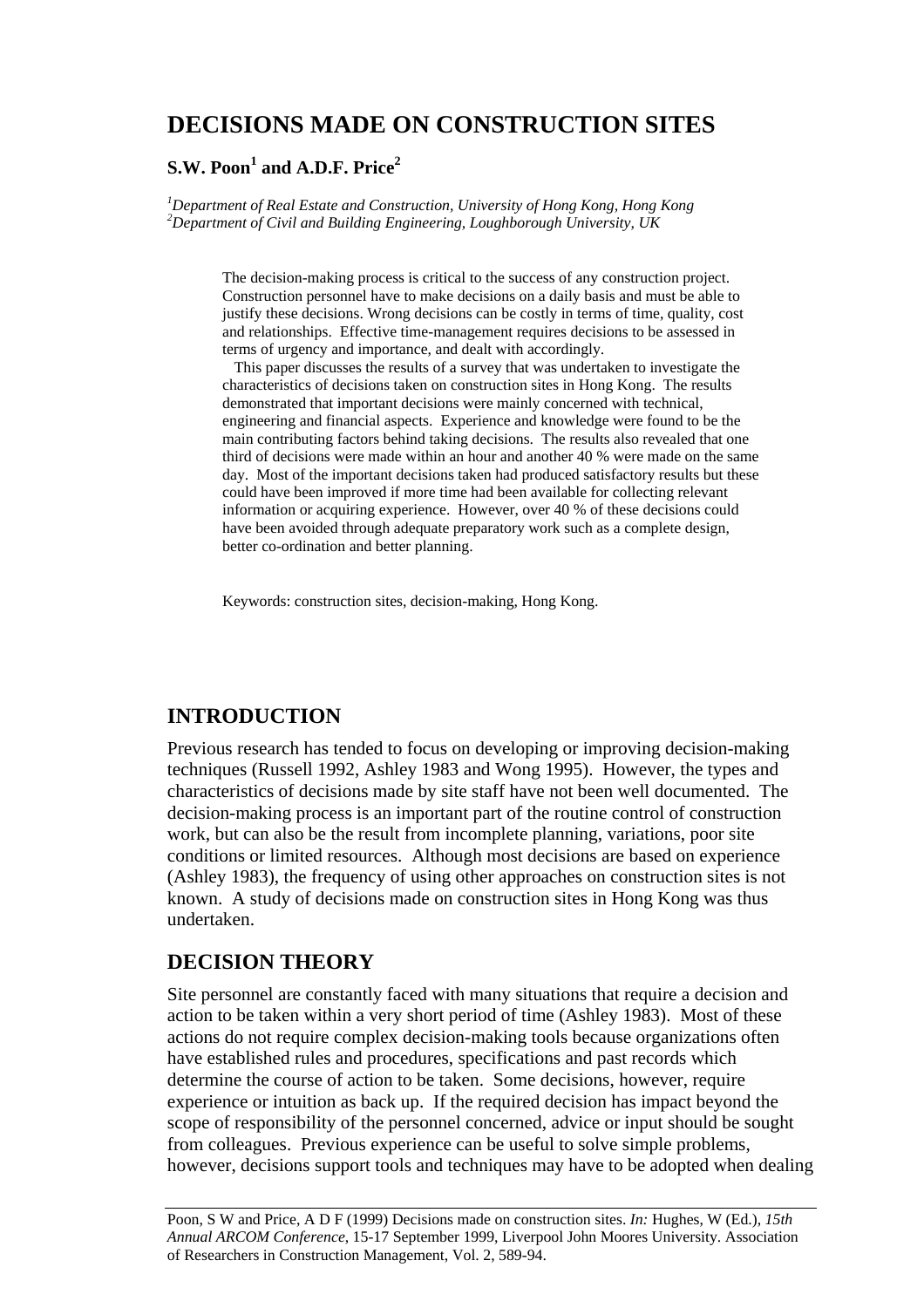# **DECISIONS MADE ON CONSTRUCTION SITES**

### $\mathbf{S}.\mathbf{W}.\ \mathbf{Poon}^\mathbf{1}$  and  $\mathbf{A}.\mathbf{D}.\mathbf{F}.\ \mathbf{Price}^\mathbf{2}$

*1 Department of Real Estate and Construction, University of Hong Kong, Hong Kong 2 Department of Civil and Building Engineering, Loughborough University, UK* 

> The decision-making process is critical to the success of any construction project. Construction personnel have to make decisions on a daily basis and must be able to justify these decisions. Wrong decisions can be costly in terms of time, quality, cost and relationships. Effective time-management requires decisions to be assessed in terms of urgency and importance, and dealt with accordingly.

 This paper discusses the results of a survey that was undertaken to investigate the characteristics of decisions taken on construction sites in Hong Kong. The results demonstrated that important decisions were mainly concerned with technical, engineering and financial aspects. Experience and knowledge were found to be the main contributing factors behind taking decisions. The results also revealed that one third of decisions were made within an hour and another 40 % were made on the same day. Most of the important decisions taken had produced satisfactory results but these could have been improved if more time had been available for collecting relevant information or acquiring experience. However, over 40 % of these decisions could have been avoided through adequate preparatory work such as a complete design, better co-ordination and better planning.

Keywords: construction sites, decision-making, Hong Kong.

### **INTRODUCTION**

Previous research has tended to focus on developing or improving decision-making techniques (Russell 1992, Ashley 1983 and Wong 1995). However, the types and characteristics of decisions made by site staff have not been well documented. The decision-making process is an important part of the routine control of construction work, but can also be the result from incomplete planning, variations, poor site conditions or limited resources. Although most decisions are based on experience (Ashley 1983), the frequency of using other approaches on construction sites is not known. A study of decisions made on construction sites in Hong Kong was thus undertaken.

## **DECISION THEORY**

Site personnel are constantly faced with many situations that require a decision and action to be taken within a very short period of time (Ashley 1983). Most of these actions do not require complex decision-making tools because organizations often have established rules and procedures, specifications and past records which determine the course of action to be taken. Some decisions, however, require experience or intuition as back up. If the required decision has impact beyond the scope of responsibility of the personnel concerned, advice or input should be sought from colleagues. Previous experience can be useful to solve simple problems, however, decisions support tools and techniques may have to be adopted when dealing

Poon, S W and Price, A D F (1999) Decisions made on construction sites. *In:* Hughes, W (Ed.), *15th Annual ARCOM Conference*, 15-17 September 1999, Liverpool John Moores University. Association of Researchers in Construction Management, Vol. 2, 589-94.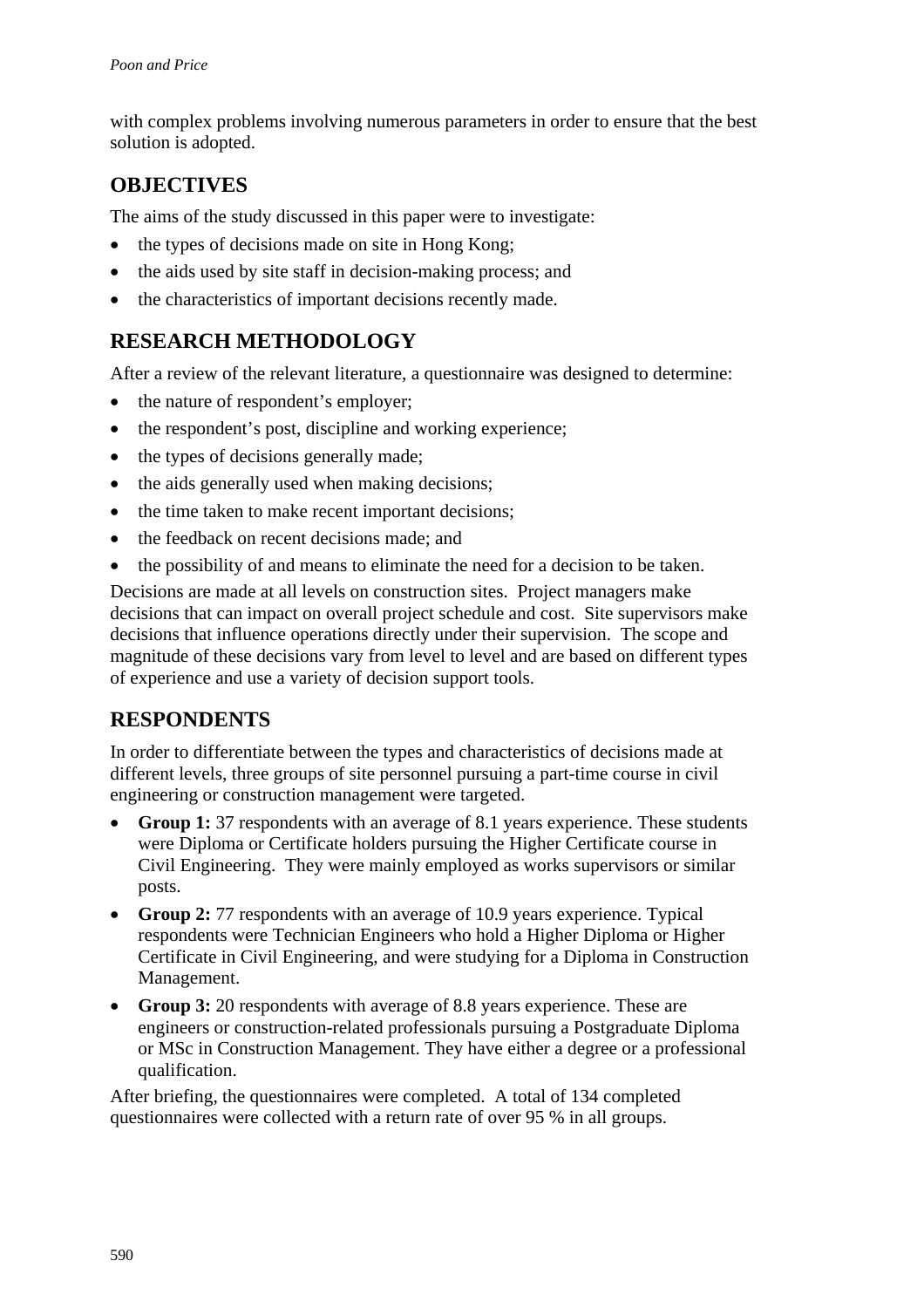with complex problems involving numerous parameters in order to ensure that the best solution is adopted.

## **OBJECTIVES**

The aims of the study discussed in this paper were to investigate:

- the types of decisions made on site in Hong Kong;
- the aids used by site staff in decision-making process; and
- the characteristics of important decisions recently made.

# **RESEARCH METHODOLOGY**

After a review of the relevant literature, a questionnaire was designed to determine:

- the nature of respondent's employer;
- the respondent's post, discipline and working experience;
- the types of decisions generally made;
- the aids generally used when making decisions;
- the time taken to make recent important decisions;
- the feedback on recent decisions made; and
- the possibility of and means to eliminate the need for a decision to be taken.

Decisions are made at all levels on construction sites. Project managers make decisions that can impact on overall project schedule and cost. Site supervisors make decisions that influence operations directly under their supervision. The scope and magnitude of these decisions vary from level to level and are based on different types of experience and use a variety of decision support tools.

## **RESPONDENTS**

In order to differentiate between the types and characteristics of decisions made at different levels, three groups of site personnel pursuing a part-time course in civil engineering or construction management were targeted.

- **Group 1:** 37 respondents with an average of 8.1 years experience. These students were Diploma or Certificate holders pursuing the Higher Certificate course in Civil Engineering. They were mainly employed as works supervisors or similar posts.
- **Group 2:** 77 respondents with an average of 10.9 years experience. Typical respondents were Technician Engineers who hold a Higher Diploma or Higher Certificate in Civil Engineering, and were studying for a Diploma in Construction Management.
- **Group 3:** 20 respondents with average of 8.8 years experience. These are engineers or construction-related professionals pursuing a Postgraduate Diploma or MSc in Construction Management. They have either a degree or a professional qualification.

After briefing, the questionnaires were completed. A total of 134 completed questionnaires were collected with a return rate of over 95 % in all groups.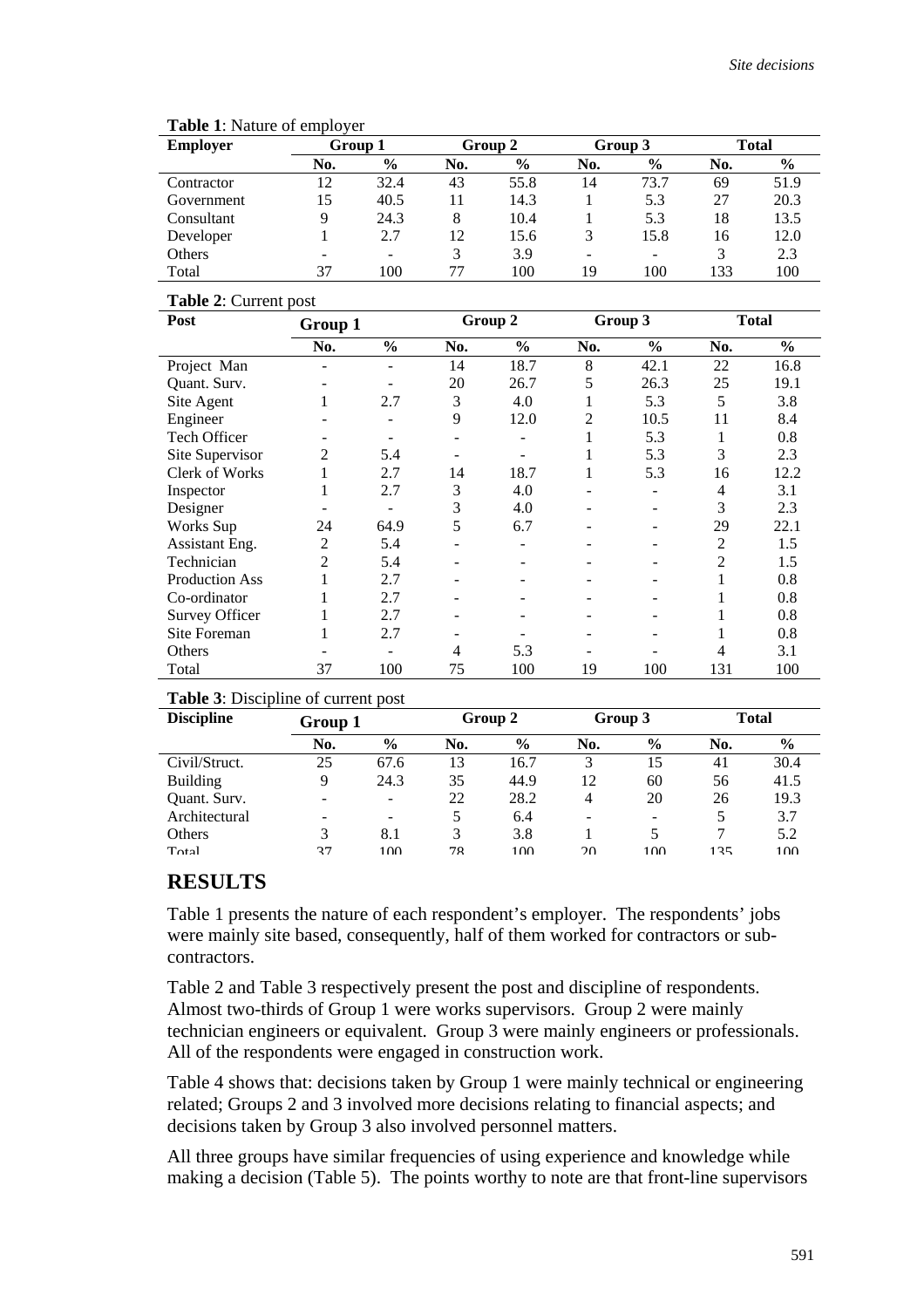| <b>Employer</b> | Group 1 |                          | Group 2 |      | Group 3 |               | <b>Total</b> |               |
|-----------------|---------|--------------------------|---------|------|---------|---------------|--------------|---------------|
|                 | No.     | $\%$                     | No.     | $\%$ | No.     | $\frac{6}{9}$ | No.          | $\frac{6}{9}$ |
| Contractor      | 12      | 32.4                     | 43      | 55.8 | 14      | 73.7          | 69           | 51.9          |
| Government      | 15      | 40.5                     |         | 14.3 |         | 5.3           | 27           | 20.3          |
| Consultant      | 9       | 24.3                     | 8       | 10.4 |         | 5.3           | 18           | 13.5          |
| Developer       |         | 2.7                      | 12      | 15.6 | 3       | 15.8          | 16           | 12.0          |
| Others          |         | $\overline{\phantom{0}}$ | 3       | 3.9  | ٠       | -             | 3            | 2.3           |
| Total           | 37      | 100                      |         | 100  | 19      | 100           | 133          | 100           |

#### **Table 1**: Nature of employer

#### **Table 2**: Current post

| Post                  | Group 1 |               |     | Group 2       |                | Group 3       |     | <b>Total</b>  |  |
|-----------------------|---------|---------------|-----|---------------|----------------|---------------|-----|---------------|--|
|                       | No.     | $\frac{0}{0}$ | No. | $\frac{6}{9}$ | No.            | $\frac{0}{0}$ | No. | $\frac{0}{0}$ |  |
| Project Man           |         |               | 14  | 18.7          | 8              | 42.1          | 22  | 16.8          |  |
| Quant. Surv.          | -       |               | 20  | 26.7          | 5              | 26.3          | 25  | 19.1          |  |
| Site Agent            | 1       | 2.7           | 3   | 4.0           | 1              | 5.3           | 5   | 3.8           |  |
| Engineer              |         |               | 9   | 12.0          | $\overline{c}$ | 10.5          | 11  | 8.4           |  |
| Tech Officer          |         |               |     |               |                | 5.3           | 1   | 0.8           |  |
| Site Supervisor       | 2       | 5.4           |     |               | 1              | 5.3           | 3   | 2.3           |  |
| Clerk of Works        | 1       | 2.7           | 14  | 18.7          | 1              | 5.3           | 16  | 12.2          |  |
| Inspector             | 1       | 2.7           | 3   | 4.0           |                |               | 4   | 3.1           |  |
| Designer              |         |               | 3   | 4.0           |                |               | 3   | 2.3           |  |
| Works Sup             | 24      | 64.9          | 5   | 6.7           |                |               | 29  | 22.1          |  |
| Assistant Eng.        | 2       | 5.4           |     |               |                |               | 2   | 1.5           |  |
| Technician            | 2       | 5.4           |     |               |                |               | 2   | 1.5           |  |
| <b>Production Ass</b> |         | 2.7           |     |               |                |               |     | 0.8           |  |
| Co-ordinator          | 1       | 2.7           |     |               |                |               |     | 0.8           |  |
| <b>Survey Officer</b> | 1       | 2.7           |     |               |                |               |     | 0.8           |  |
| Site Foreman          |         | 2.7           |     |               |                |               |     | 0.8           |  |
| Others                |         |               | 4   | 5.3           |                |               | 4   | 3.1           |  |
| Total                 | 37      | 100           | 75  | 100           | 19             | 100           | 131 | 100           |  |

### **Table 3**: Discipline of current post

| <b>Discipline</b> |     | Group 1                  |     | Group 2       |     | Group 3                  |     | <b>Total</b>  |  |
|-------------------|-----|--------------------------|-----|---------------|-----|--------------------------|-----|---------------|--|
|                   | No. | $\frac{6}{9}$            | No. | $\frac{6}{9}$ | No. | $\frac{6}{9}$            | No. | $\frac{6}{9}$ |  |
| Civil/Struct.     | 25  | 67.6                     | 13  | 16.7          | 3   | 15                       | 41  | 30.4          |  |
| <b>Building</b>   | 9   | 24.3                     | 35  | 44.9          | 12  | 60                       | 56  | 41.5          |  |
| Quant. Surv.      |     | -                        | 22  | 28.2          | 4   | 20                       | 26  | 19.3          |  |
| Architectural     |     | $\overline{\phantom{0}}$ |     | 6.4           |     | $\overline{\phantom{0}}$ | 5   | 3.7           |  |
| Others            |     | 8.1                      |     | 3.8           |     |                          |     | 5.2           |  |
| Total             | 37  | 100                      | 78  | 100           | 20  | 100                      | 135 | 100           |  |

## **RESULTS**

Table 1 presents the nature of each respondent's employer. The respondents' jobs were mainly site based, consequently, half of them worked for contractors or subcontractors.

Table 2 and Table 3 respectively present the post and discipline of respondents. Almost two-thirds of Group 1 were works supervisors. Group 2 were mainly technician engineers or equivalent. Group 3 were mainly engineers or professionals. All of the respondents were engaged in construction work.

Table 4 shows that: decisions taken by Group 1 were mainly technical or engineering related; Groups 2 and 3 involved more decisions relating to financial aspects; and decisions taken by Group 3 also involved personnel matters.

All three groups have similar frequencies of using experience and knowledge while making a decision (Table 5). The points worthy to note are that front-line supervisors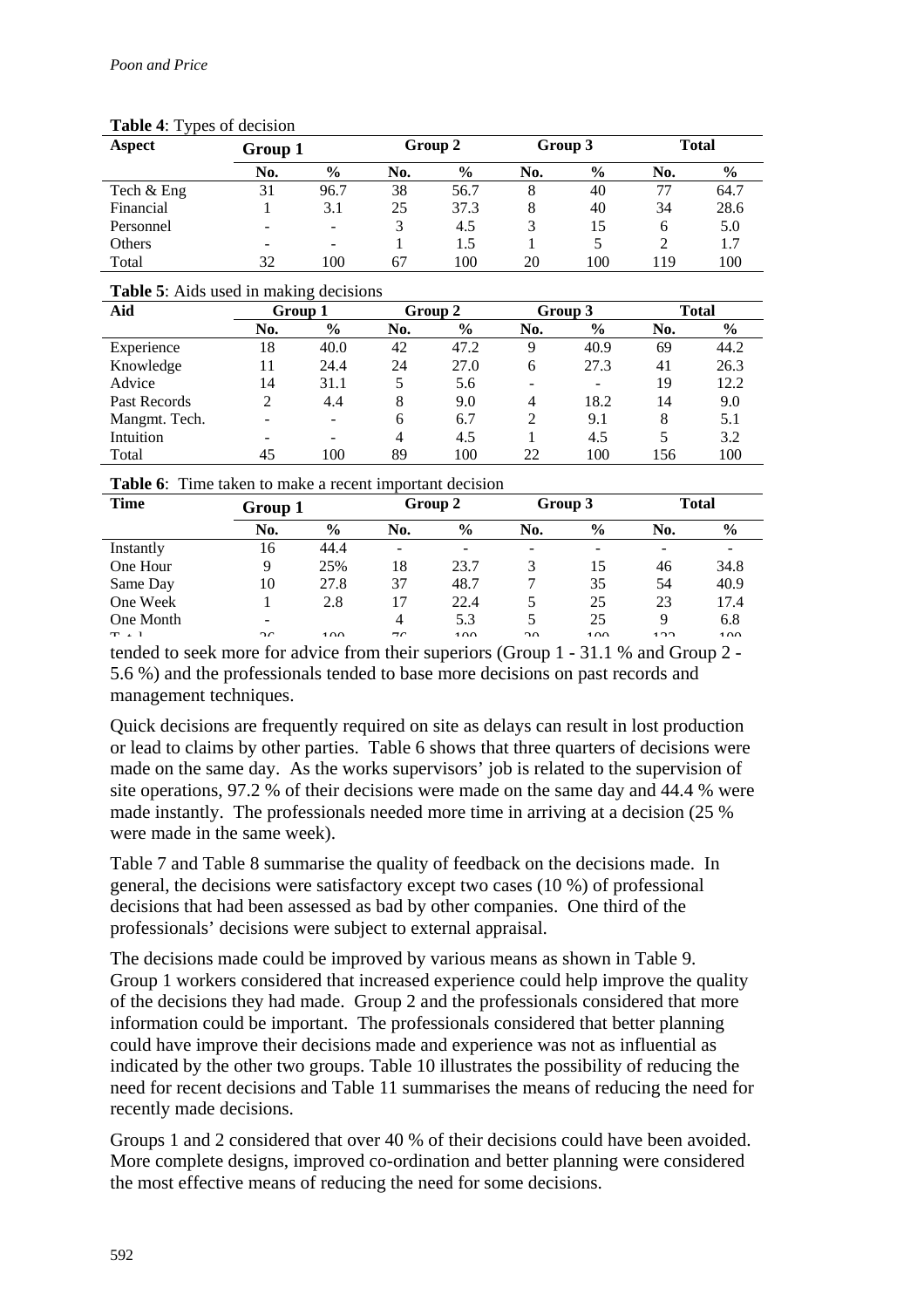| $1.401$ $1.17$ $1.000$ of accession |                          |               |     |               |     |               |     |               |  |
|-------------------------------------|--------------------------|---------------|-----|---------------|-----|---------------|-----|---------------|--|
| Aspect                              | Group 1                  |               |     | Group 2       |     | Group 3       |     | <b>Total</b>  |  |
|                                     | No.                      | $\frac{6}{9}$ | No. | $\frac{6}{9}$ | No. | $\frac{6}{9}$ | No. | $\frac{6}{9}$ |  |
| Tech & Eng                          | 31                       | 96.7          | 38  | 56.7          | 8   | 40            | 77  | 64.7          |  |
| Financial                           |                          | 3.1           | 25  | 37.3          | 8   | 40            | 34  | 28.6          |  |
| Personnel                           | $\overline{\phantom{a}}$ |               | 3   | 4.5           | 3   | 15            | 6   | 5.0           |  |
| Others                              | -                        | -             |     | 1.5           |     |               |     | 1.7           |  |
| Total                               | 32                       | 100           | 67  | 100           | 20  | 100           | 119 | 100           |  |

### **Table 4**: Types of decision

### **Table 5**: Aids used in making decisions

| Aid           | Group 1                  |               | Group 2 |               | Group 3                  |                          | Total |      |
|---------------|--------------------------|---------------|---------|---------------|--------------------------|--------------------------|-------|------|
|               | No.                      | $\frac{6}{9}$ | No.     | $\frac{6}{9}$ | No.                      | $\%$                     | No.   | $\%$ |
| Experience    | 18                       | 40.0          | 42      | 47.2          | 9                        | 40.9                     | 69    | 44.2 |
| Knowledge     | 11                       | 24.4          | 24      | 27.0          | 6                        | 27.3                     | 41    | 26.3 |
| Advice        | 14                       | 31.1          | 5       | 5.6           | $\overline{\phantom{0}}$ | $\overline{\phantom{0}}$ | 19    | 12.2 |
| Past Records  | 2                        | 4.4           | 8       | 9.0           | 4                        | 18.2                     | 14    | 9.0  |
| Mangmt. Tech. | $\overline{\phantom{0}}$ |               | 6       | 6.7           | 2                        | 9.1                      | 8     | 5.1  |
| Intuition     | $\overline{\phantom{a}}$ | -             | 4       | 4.5           |                          | 4.5                      | 5     | 3.2  |
| Total         | 45                       | 100           | 89      | 100           | 22                       | 100                      | 56    | 100  |

| <b>Table 6:</b> Time taken to make a recent important decision |  |  |
|----------------------------------------------------------------|--|--|
|                                                                |  |  |

| <b>Time</b> |                          | Group 1       |                          | Group 2       |                          | Group 3       |     | <b>Total</b> |  |
|-------------|--------------------------|---------------|--------------------------|---------------|--------------------------|---------------|-----|--------------|--|
|             | No.                      | $\frac{6}{9}$ | No.                      | $\frac{6}{9}$ | No.                      | $\frac{0}{0}$ | No. | $\%$         |  |
| Instantly   | 16                       | 44.4          | -                        |               | $\overline{\phantom{0}}$ |               |     |              |  |
| One Hour    | 9                        | 25%           | 18                       | 23.7          | 3                        | 15            | 46  | 34.8         |  |
| Same Day    | 10                       | 27.8          | 37                       | 48.7          |                          | 35            | 54  | 40.9         |  |
| One Week    |                          | 2.8           | 17                       | 22.4          | 5                        | 25            | 23  | 17.4         |  |
| One Month   | $\overline{\phantom{a}}$ |               | 4                        | 5.3           | C.                       | 25            | 9   | 6.8          |  |
| $T = 1$     | $\sim$                   | 100           | $\overline{\phantom{a}}$ | 100           | $\bigcap$                | 100           | 122 | 100          |  |

tended to seek more for advice from their superiors (Group 1 - 31.1 % and Group 2 - 5.6 %) and the professionals tended to base more decisions on past records and management techniques.

Quick decisions are frequently required on site as delays can result in lost production or lead to claims by other parties. Table 6 shows that three quarters of decisions were made on the same day. As the works supervisors' job is related to the supervision of site operations, 97.2 % of their decisions were made on the same day and 44.4 % were made instantly. The professionals needed more time in arriving at a decision (25 % were made in the same week).

Table 7 and Table 8 summarise the quality of feedback on the decisions made. In general, the decisions were satisfactory except two cases (10 %) of professional decisions that had been assessed as bad by other companies. One third of the professionals' decisions were subject to external appraisal.

The decisions made could be improved by various means as shown in Table 9. Group 1 workers considered that increased experience could help improve the quality of the decisions they had made. Group 2 and the professionals considered that more information could be important. The professionals considered that better planning could have improve their decisions made and experience was not as influential as indicated by the other two groups. Table 10 illustrates the possibility of reducing the need for recent decisions and Table 11 summarises the means of reducing the need for recently made decisions.

Groups 1 and 2 considered that over 40 % of their decisions could have been avoided. More complete designs, improved co-ordination and better planning were considered the most effective means of reducing the need for some decisions.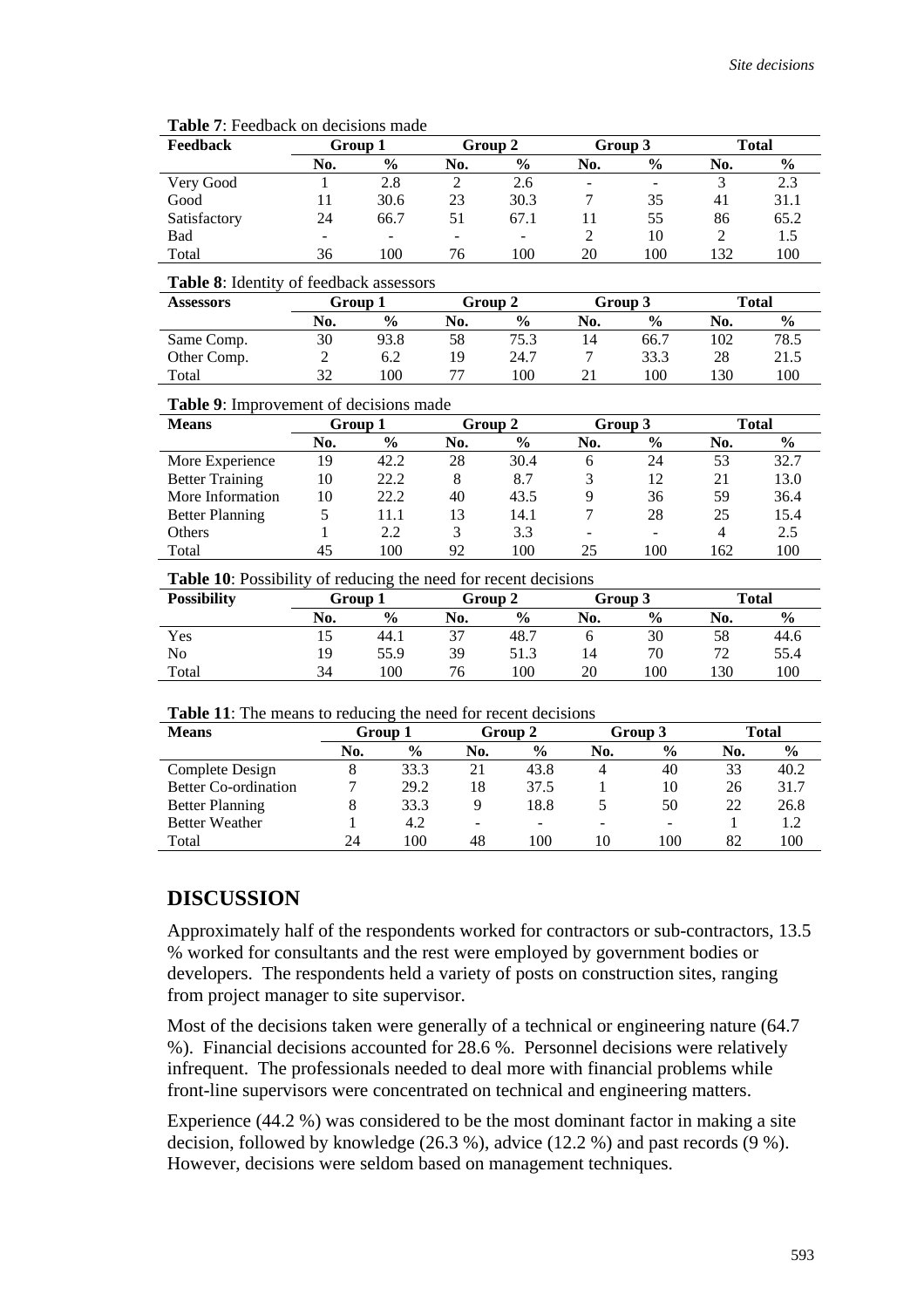| <b>Feedback</b> | Group 1 |               |     | Group 2       |                          | Group 3       |     | <b>Total</b>  |
|-----------------|---------|---------------|-----|---------------|--------------------------|---------------|-----|---------------|
|                 | No.     | $\frac{6}{9}$ | No. | $\frac{6}{9}$ | No.                      | $\frac{6}{9}$ | No. | $\frac{0}{0}$ |
| Very Good       |         | 2.8           |     | 2.6           | $\overline{\phantom{a}}$ |               |     | 2.3           |
| Good            |         | 30.6          | 23  | 30.3          |                          | 35            | 41  | 31.1          |
| Satisfactory    | 24      | 66.7          | 51  | 67.1          |                          | 55            | 86  | 65.2          |
| Bad             |         | -             |     |               |                          | 10            |     | 1.5           |
| Total           | 36      | 100           | 76  | 100           | 20                       | 100           | 132 | 100           |

#### **Table 7**: Feedback on decisions made

#### **Table 8**: Identity of feedback assessors

| <b>Assessors</b> | Group 1 |               | Group 2 |               | Group 3 |               | <b>Total</b> |               |
|------------------|---------|---------------|---------|---------------|---------|---------------|--------------|---------------|
|                  | No.     | $\frac{6}{9}$ | No.     | $\frac{0}{0}$ | No.     | $\frac{6}{9}$ | No.          | $\frac{0}{0}$ |
| Same Comp.       | 30      | 93.8          | 58      | 75.3          | 14      | 66.7          | 102          | 78.5          |
| Other Comp.      |         | 6.2           | 19      | 24.7          |         | 33.3          | 28           | 21.5          |
| Total            | 32      | 100           |         | $100^{\circ}$ |         | 100           | l 30         | 100           |

#### **Table 9**: Improvement of decisions made

| <b>Means</b>           |     | Group 1       |     | Group 2       |                              | Group 3       |     | Total         |
|------------------------|-----|---------------|-----|---------------|------------------------------|---------------|-----|---------------|
|                        | No. | $\frac{6}{9}$ | No. | $\frac{6}{9}$ | No.                          | $\frac{6}{9}$ | No. | $\frac{6}{9}$ |
| More Experience        | 19  | 42.2          | 28  | 30.4          | h                            | 24            | 53  | 32.7          |
| <b>Better Training</b> | 10  | 22.2          | 8   | 8.7           | 3                            | 12            | 21  | 13.0          |
| More Information       | 10  | 22.2          | 40  | 43.5          | 9                            | 36            | 59  | 36.4          |
| <b>Better Planning</b> | 5   | 11.1          | 13  | 14.1          |                              | 28            | 25  | 15.4          |
| Others                 |     | 2.2           | 3   | 3.3           | $\qquad \qquad \blacksquare$ |               | 4   | 2.5           |
| Total                  | 45  | 100           | 92  | 100           | 25                           | 100           | 62  | 100           |

**Table 10**: Possibility of reducing the need for recent decisions

| <b>Possibility</b> |     | Group 1       |     | Group 2       |     | Group 3       |     | <b>Total</b>  |
|--------------------|-----|---------------|-----|---------------|-----|---------------|-----|---------------|
|                    | No. | $\frac{0}{0}$ | No. | $\frac{6}{6}$ | No. | $\frac{0}{0}$ | No. | $\frac{0}{0}$ |
| Yes                | 10  | 44.1          | 37  | 48.           |     | 30            | 58  | 44.6          |
| No                 | 19  | 55.9          | 39  | 51.3          | 14  | 70            | 72  | 55.4          |
| Total              | 34  | 100           | 76  | 100           | 20  | 100           | 130 | 100           |

| Table 11: The means to reducing the need for recent decisions |  |
|---------------------------------------------------------------|--|
|---------------------------------------------------------------|--|

| <b>Means</b>                | Group 1 |               | Group 2                  |               | Group 3 |                          | Total |               |
|-----------------------------|---------|---------------|--------------------------|---------------|---------|--------------------------|-------|---------------|
|                             | No.     | $\frac{0}{0}$ | No.                      | $\frac{6}{9}$ | No.     | $\frac{6}{9}$            | No.   | $\frac{6}{9}$ |
| Complete Design             |         | 33.3          | 21                       | 43.8          | 4       | 40                       | 33    | 40.2          |
| <b>Better Co-ordination</b> |         | 29.2          | 18                       | 37.5          |         | 10                       | 26    | 31.7          |
| <b>Better Planning</b>      |         | 33.3          | 9                        | 18.8          |         | 50                       | 22    | 26.8          |
| <b>Better Weather</b>       |         | 4.2           | $\overline{\phantom{0}}$ | -             |         | $\overline{\phantom{0}}$ |       |               |
| Total                       | 24      | 100           | 48                       | 100           | 10      | 00                       | 82    | 100           |

### **DISCUSSION**

Approximately half of the respondents worked for contractors or sub-contractors, 13.5 % worked for consultants and the rest were employed by government bodies or developers. The respondents held a variety of posts on construction sites, ranging from project manager to site supervisor.

Most of the decisions taken were generally of a technical or engineering nature (64.7 %). Financial decisions accounted for 28.6 %. Personnel decisions were relatively infrequent. The professionals needed to deal more with financial problems while front-line supervisors were concentrated on technical and engineering matters.

Experience (44.2 %) was considered to be the most dominant factor in making a site decision, followed by knowledge (26.3 %), advice (12.2 %) and past records (9 %). However, decisions were seldom based on management techniques.